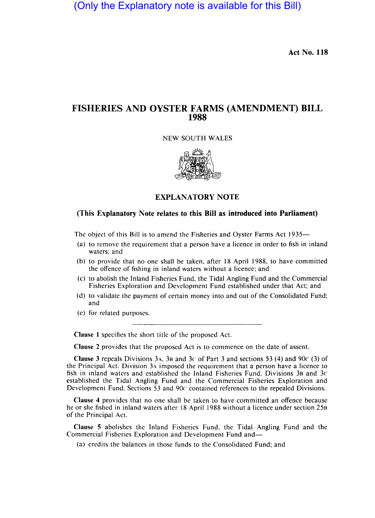(Only the Explanatory note is available for this Bill)

**Act No. 118** 

## **FISHERIES AND OYSTER FARMS (AMENDMENT) BILL 1988**

NEW SOUTH WALES



**EXPLANATORY NOTE** 

## **(This Explanatory Note relates to this Bill as introduced into Parliament)**

The object of this Bill is to amend the Fisheries and Oyster Farms Act 1935-

- (a) to remove the requirement that a person have a licence in order to fish in inland waters; and
- (b) to provide that no one shall be taken, after 18 April 1988, to have committed the offence of fishing in inland waters without a licence; and
- (c) to abolish the Inland Fisheries Fund, the Tidal Angling Fund and the Commercial Fisheries Exploration and Development Fund established under that Act; and
- (d) to validate the payment of certain money into and out of the Consolidated Fund; and
- (e) for related purposes.

**Clause 1** specifies the short title of the proposed Act.

**Clause 2** provides that the proposed Act is to commence on the date of assent.

**Clause 3** repeals Divisions 3A, 3B and 3 $\circ$  of Part 3 and sections 53 (4) and 90 $\circ$  (3) of the Principal Act. Division 3A imposed the requirement that a person have a licence to fish in inland waters and established the Inland Fisheries Fund. Divisions 3B and *3c*  established the Tidal Angling Fund and the Commercial Fisheries Exploration and Development Fund. Sections 53 and 90c contained references to the repealed Divisions.

**Clause 4** provides that no one shall be taken to have committed an offence because he or she fished in inland waters after 18 April 1988 without a licence under section 25B of the Principal Act.

**Clause** 5 abolishes the Inland Fisheries Fund, the Tidal Angling Fund and the Commercial Fisheries Exploration and Development Fund and-

(a) credits the balances in those funds to the Consolidated Fund; and